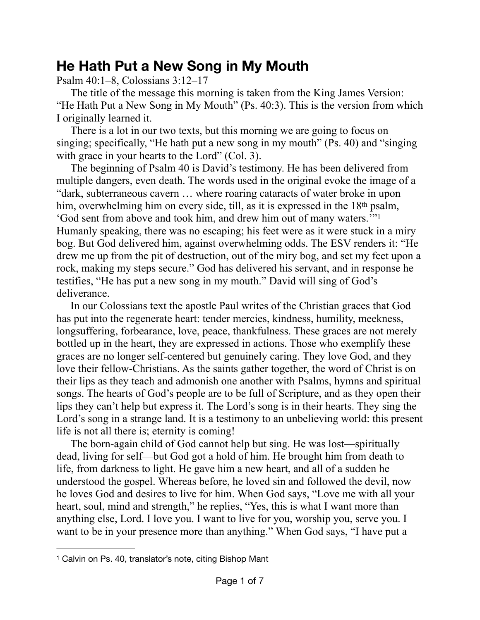## **He Hath Put a New Song in My Mouth**

Psalm 40:1–8, Colossians 3:12–17

The title of the message this morning is taken from the King James Version: "He Hath Put a New Song in My Mouth" (Ps. 40:3). This is the version from which I originally learned it.

There is a lot in our two texts, but this morning we are going to focus on singing; specifically, "He hath put a new song in my mouth" (Ps. 40) and "singing with grace in your hearts to the Lord" (Col. 3).

<span id="page-0-1"></span>The beginning of Psalm 40 is David's testimony. He has been delivered from multiple dangers, even death. The words used in the original evoke the image of a "dark, subterraneous cavern … where roaring cataracts of water broke in upon him, overwhelming him on every side, till, as it is expressed in the 18<sup>th</sup> psalm, 'God sent from above and took him, and drew him out of many waters.'["1](#page-0-0) Humanly speaking, there was no escaping; his feet were as it were stuck in a miry bog. But God delivered him, against overwhelming odds. The ESV renders it: "He drew me up from the pit of destruction, out of the miry bog, and set my feet upon a rock, making my steps secure." God has delivered his servant, and in response he testifies, "He has put a new song in my mouth." David will sing of God's deliverance.

In our Colossians text the apostle Paul writes of the Christian graces that God has put into the regenerate heart: tender mercies, kindness, humility, meekness, longsuffering, forbearance, love, peace, thankfulness. These graces are not merely bottled up in the heart, they are expressed in actions. Those who exemplify these graces are no longer self-centered but genuinely caring. They love God, and they love their fellow-Christians. As the saints gather together, the word of Christ is on their lips as they teach and admonish one another with Psalms, hymns and spiritual songs. The hearts of God's people are to be full of Scripture, and as they open their lips they can't help but express it. The Lord's song is in their hearts. They sing the Lord's song in a strange land. It is a testimony to an unbelieving world: this present life is not all there is; eternity is coming!

The born-again child of God cannot help but sing. He was lost—spiritually dead, living for self—but God got a hold of him. He brought him from death to life, from darkness to light. He gave him a new heart, and all of a sudden he understood the gospel. Whereas before, he loved sin and followed the devil, now he loves God and desires to live for him. When God says, "Love me with all your heart, soul, mind and strength," he replies, "Yes, this is what I want more than anything else, Lord. I love you. I want to live for you, worship you, serve you. I want to be in your presence more than anything." When God says, "I have put a

<span id="page-0-0"></span><sup>&</sup>lt;sup>[1](#page-0-1)</sup> Calvin on Ps. 40, translator's note, citing Bishop Mant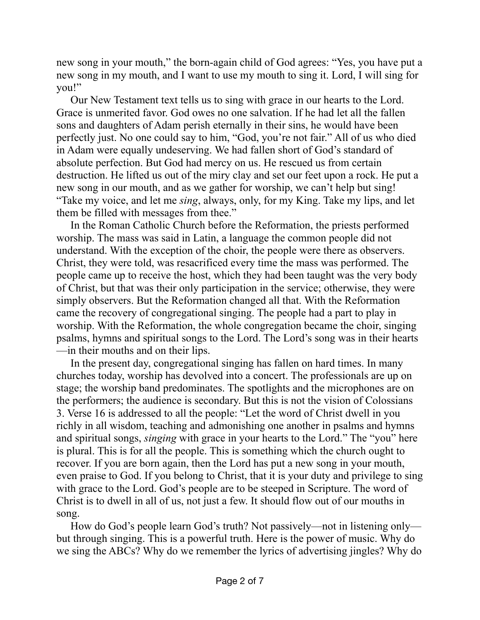new song in your mouth," the born-again child of God agrees: "Yes, you have put a new song in my mouth, and I want to use my mouth to sing it. Lord, I will sing for you!"

Our New Testament text tells us to sing with grace in our hearts to the Lord. Grace is unmerited favor. God owes no one salvation. If he had let all the fallen sons and daughters of Adam perish eternally in their sins, he would have been perfectly just. No one could say to him, "God, you're not fair." All of us who died in Adam were equally undeserving. We had fallen short of God's standard of absolute perfection. But God had mercy on us. He rescued us from certain destruction. He lifted us out of the miry clay and set our feet upon a rock. He put a new song in our mouth, and as we gather for worship, we can't help but sing! "Take my voice, and let me *sing*, always, only, for my King. Take my lips, and let them be filled with messages from thee."

In the Roman Catholic Church before the Reformation, the priests performed worship. The mass was said in Latin, a language the common people did not understand. With the exception of the choir, the people were there as observers. Christ, they were told, was resacrificed every time the mass was performed. The people came up to receive the host, which they had been taught was the very body of Christ, but that was their only participation in the service; otherwise, they were simply observers. But the Reformation changed all that. With the Reformation came the recovery of congregational singing. The people had a part to play in worship. With the Reformation, the whole congregation became the choir, singing psalms, hymns and spiritual songs to the Lord. The Lord's song was in their hearts —in their mouths and on their lips.

In the present day, congregational singing has fallen on hard times. In many churches today, worship has devolved into a concert. The professionals are up on stage; the worship band predominates. The spotlights and the microphones are on the performers; the audience is secondary. But this is not the vision of Colossians 3. Verse 16 is addressed to all the people: "Let the word of Christ dwell in you richly in all wisdom, teaching and admonishing one another in psalms and hymns and spiritual songs, *singing* with grace in your hearts to the Lord." The "you" here is plural. This is for all the people. This is something which the church ought to recover. If you are born again, then the Lord has put a new song in your mouth, even praise to God. If you belong to Christ, that it is your duty and privilege to sing with grace to the Lord. God's people are to be steeped in Scripture. The word of Christ is to dwell in all of us, not just a few. It should flow out of our mouths in song.

How do God's people learn God's truth? Not passively—not in listening only but through singing. This is a powerful truth. Here is the power of music. Why do we sing the ABCs? Why do we remember the lyrics of advertising jingles? Why do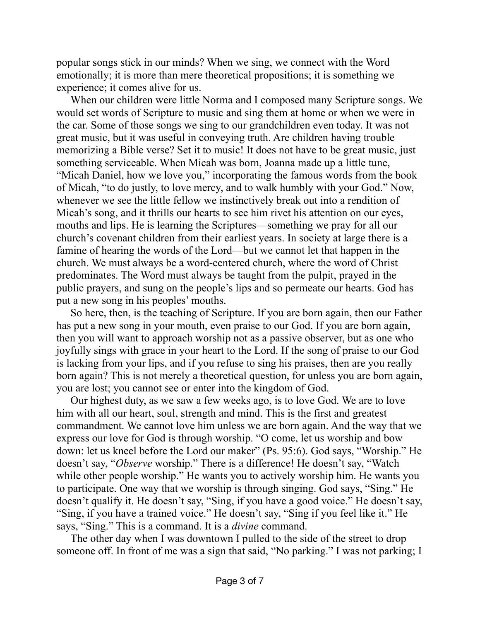popular songs stick in our minds? When we sing, we connect with the Word emotionally; it is more than mere theoretical propositions; it is something we experience; it comes alive for us.

When our children were little Norma and I composed many Scripture songs. We would set words of Scripture to music and sing them at home or when we were in the car. Some of those songs we sing to our grandchildren even today. It was not great music, but it was useful in conveying truth. Are children having trouble memorizing a Bible verse? Set it to music! It does not have to be great music, just something serviceable. When Micah was born, Joanna made up a little tune, "Micah Daniel, how we love you," incorporating the famous words from the book of Micah, "to do justly, to love mercy, and to walk humbly with your God." Now, whenever we see the little fellow we instinctively break out into a rendition of Micah's song, and it thrills our hearts to see him rivet his attention on our eyes, mouths and lips. He is learning the Scriptures—something we pray for all our church's covenant children from their earliest years. In society at large there is a famine of hearing the words of the Lord—but we cannot let that happen in the church. We must always be a word-centered church, where the word of Christ predominates. The Word must always be taught from the pulpit, prayed in the public prayers, and sung on the people's lips and so permeate our hearts. God has put a new song in his peoples' mouths.

So here, then, is the teaching of Scripture. If you are born again, then our Father has put a new song in your mouth, even praise to our God. If you are born again, then you will want to approach worship not as a passive observer, but as one who joyfully sings with grace in your heart to the Lord. If the song of praise to our God is lacking from your lips, and if you refuse to sing his praises, then are you really born again? This is not merely a theoretical question, for unless you are born again, you are lost; you cannot see or enter into the kingdom of God.

Our highest duty, as we saw a few weeks ago, is to love God. We are to love him with all our heart, soul, strength and mind. This is the first and greatest commandment. We cannot love him unless we are born again. And the way that we express our love for God is through worship. "O come, let us worship and bow down: let us kneel before the Lord our maker" (Ps. 95:6). God says, "Worship." He doesn't say, "*Observe* worship." There is a difference! He doesn't say, "Watch while other people worship." He wants you to actively worship him. He wants you to participate. One way that we worship is through singing. God says, "Sing." He doesn't qualify it. He doesn't say, "Sing, if you have a good voice." He doesn't say, "Sing, if you have a trained voice." He doesn't say, "Sing if you feel like it." He says, "Sing." This is a command. It is a *divine* command.

The other day when I was downtown I pulled to the side of the street to drop someone off. In front of me was a sign that said, "No parking." I was not parking; I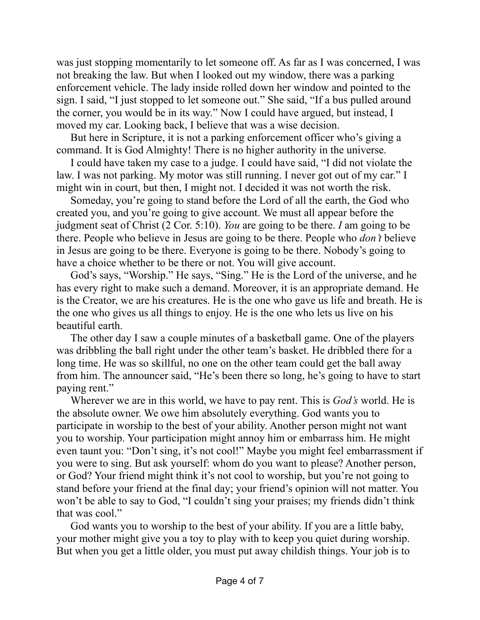was just stopping momentarily to let someone off. As far as I was concerned, I was not breaking the law. But when I looked out my window, there was a parking enforcement vehicle. The lady inside rolled down her window and pointed to the sign. I said, "I just stopped to let someone out." She said, "If a bus pulled around the corner, you would be in its way." Now I could have argued, but instead, I moved my car. Looking back, I believe that was a wise decision.

But here in Scripture, it is not a parking enforcement officer who's giving a command. It is God Almighty! There is no higher authority in the universe.

I could have taken my case to a judge. I could have said, "I did not violate the law. I was not parking. My motor was still running. I never got out of my car." I might win in court, but then, I might not. I decided it was not worth the risk.

Someday, you're going to stand before the Lord of all the earth, the God who created you, and you're going to give account. We must all appear before the judgment seat of Christ (2 Cor. 5:10). *You* are going to be there. *I* am going to be there. People who believe in Jesus are going to be there. People who *don't* believe in Jesus are going to be there. Everyone is going to be there. Nobody's going to have a choice whether to be there or not. You will give account.

God's says, "Worship." He says, "Sing." He is the Lord of the universe, and he has every right to make such a demand. Moreover, it is an appropriate demand. He is the Creator, we are his creatures. He is the one who gave us life and breath. He is the one who gives us all things to enjoy. He is the one who lets us live on his beautiful earth.

The other day I saw a couple minutes of a basketball game. One of the players was dribbling the ball right under the other team's basket. He dribbled there for a long time. He was so skillful, no one on the other team could get the ball away from him. The announcer said, "He's been there so long, he's going to have to start paying rent."

Wherever we are in this world, we have to pay rent. This is *God's* world. He is the absolute owner. We owe him absolutely everything. God wants you to participate in worship to the best of your ability. Another person might not want you to worship. Your participation might annoy him or embarrass him. He might even taunt you: "Don't sing, it's not cool!" Maybe you might feel embarrassment if you were to sing. But ask yourself: whom do you want to please? Another person, or God? Your friend might think it's not cool to worship, but you're not going to stand before your friend at the final day; your friend's opinion will not matter. You won't be able to say to God, "I couldn't sing your praises; my friends didn't think that was cool."

God wants you to worship to the best of your ability. If you are a little baby, your mother might give you a toy to play with to keep you quiet during worship. But when you get a little older, you must put away childish things. Your job is to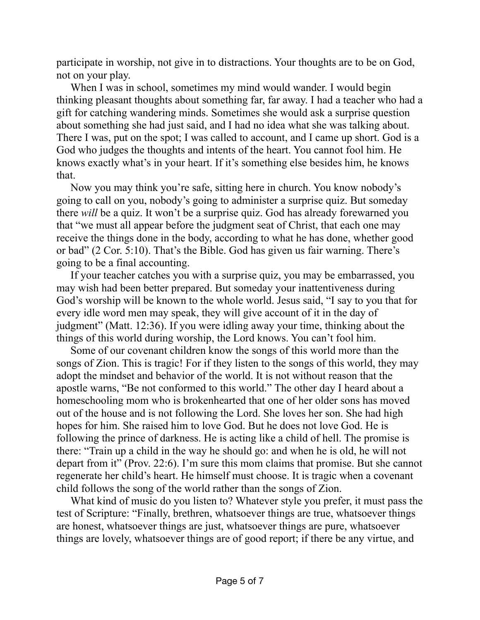participate in worship, not give in to distractions. Your thoughts are to be on God, not on your play.

When I was in school, sometimes my mind would wander. I would begin thinking pleasant thoughts about something far, far away. I had a teacher who had a gift for catching wandering minds. Sometimes she would ask a surprise question about something she had just said, and I had no idea what she was talking about. There I was, put on the spot; I was called to account, and I came up short. God is a God who judges the thoughts and intents of the heart. You cannot fool him. He knows exactly what's in your heart. If it's something else besides him, he knows that.

Now you may think you're safe, sitting here in church. You know nobody's going to call on you, nobody's going to administer a surprise quiz. But someday there *will* be a quiz. It won't be a surprise quiz. God has already forewarned you that "we must all appear before the judgment seat of Christ, that each one may receive the things done in the body, according to what he has done, whether good or bad" (2 Cor. 5:10). That's the Bible. God has given us fair warning. There's going to be a final accounting.

If your teacher catches you with a surprise quiz, you may be embarrassed, you may wish had been better prepared. But someday your inattentiveness during God's worship will be known to the whole world. Jesus said, "I say to you that for every idle word men may speak, they will give account of it in the day of judgment" (Matt. 12:36). If you were idling away your time, thinking about the things of this world during worship, the Lord knows. You can't fool him.

Some of our covenant children know the songs of this world more than the songs of Zion. This is tragic! For if they listen to the songs of this world, they may adopt the mindset and behavior of the world. It is not without reason that the apostle warns, "Be not conformed to this world." The other day I heard about a homeschooling mom who is brokenhearted that one of her older sons has moved out of the house and is not following the Lord. She loves her son. She had high hopes for him. She raised him to love God. But he does not love God. He is following the prince of darkness. He is acting like a child of hell. The promise is there: "Train up a child in the way he should go: and when he is old, he will not depart from it" (Prov. 22:6). I'm sure this mom claims that promise. But she cannot regenerate her child's heart. He himself must choose. It is tragic when a covenant child follows the song of the world rather than the songs of Zion.

What kind of music do you listen to? Whatever style you prefer, it must pass the test of Scripture: "Finally, brethren, whatsoever things are true, whatsoever things are honest, whatsoever things are just, whatsoever things are pure, whatsoever things are lovely, whatsoever things are of good report; if there be any virtue, and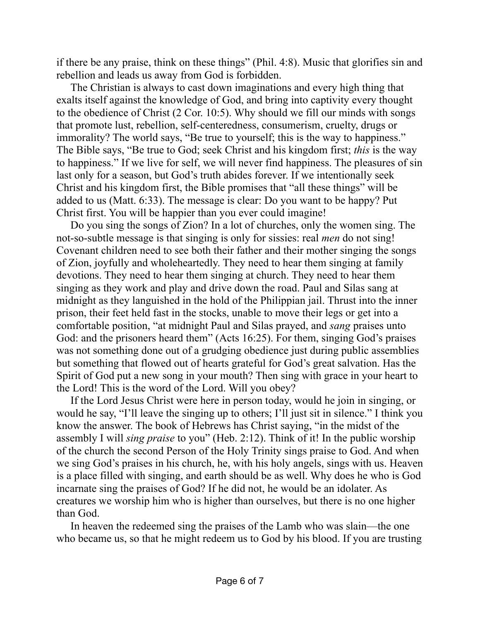if there be any praise, think on these things" (Phil. 4:8). Music that glorifies sin and rebellion and leads us away from God is forbidden.

The Christian is always to cast down imaginations and every high thing that exalts itself against the knowledge of God, and bring into captivity every thought to the obedience of Christ (2 Cor. 10:5). Why should we fill our minds with songs that promote lust, rebellion, self-centeredness, consumerism, cruelty, drugs or immorality? The world says, "Be true to yourself; this is the way to happiness." The Bible says, "Be true to God; seek Christ and his kingdom first; *this* is the way to happiness." If we live for self, we will never find happiness. The pleasures of sin last only for a season, but God's truth abides forever. If we intentionally seek Christ and his kingdom first, the Bible promises that "all these things" will be added to us (Matt. 6:33). The message is clear: Do you want to be happy? Put Christ first. You will be happier than you ever could imagine!

Do you sing the songs of Zion? In a lot of churches, only the women sing. The not-so-subtle message is that singing is only for sissies: real *men* do not sing! Covenant children need to see both their father and their mother singing the songs of Zion, joyfully and wholeheartedly. They need to hear them singing at family devotions. They need to hear them singing at church. They need to hear them singing as they work and play and drive down the road. Paul and Silas sang at midnight as they languished in the hold of the Philippian jail. Thrust into the inner prison, their feet held fast in the stocks, unable to move their legs or get into a comfortable position, "at midnight Paul and Silas prayed, and *sang* praises unto God: and the prisoners heard them" (Acts 16:25). For them, singing God's praises was not something done out of a grudging obedience just during public assemblies but something that flowed out of hearts grateful for God's great salvation. Has the Spirit of God put a new song in your mouth? Then sing with grace in your heart to the Lord! This is the word of the Lord. Will you obey?

If the Lord Jesus Christ were here in person today, would he join in singing, or would he say, "I'll leave the singing up to others; I'll just sit in silence." I think you know the answer. The book of Hebrews has Christ saying, "in the midst of the assembly I will *sing praise* to you" (Heb. 2:12). Think of it! In the public worship of the church the second Person of the Holy Trinity sings praise to God. And when we sing God's praises in his church, he, with his holy angels, sings with us. Heaven is a place filled with singing, and earth should be as well. Why does he who is God incarnate sing the praises of God? If he did not, he would be an idolater. As creatures we worship him who is higher than ourselves, but there is no one higher than God.

In heaven the redeemed sing the praises of the Lamb who was slain—the one who became us, so that he might redeem us to God by his blood. If you are trusting